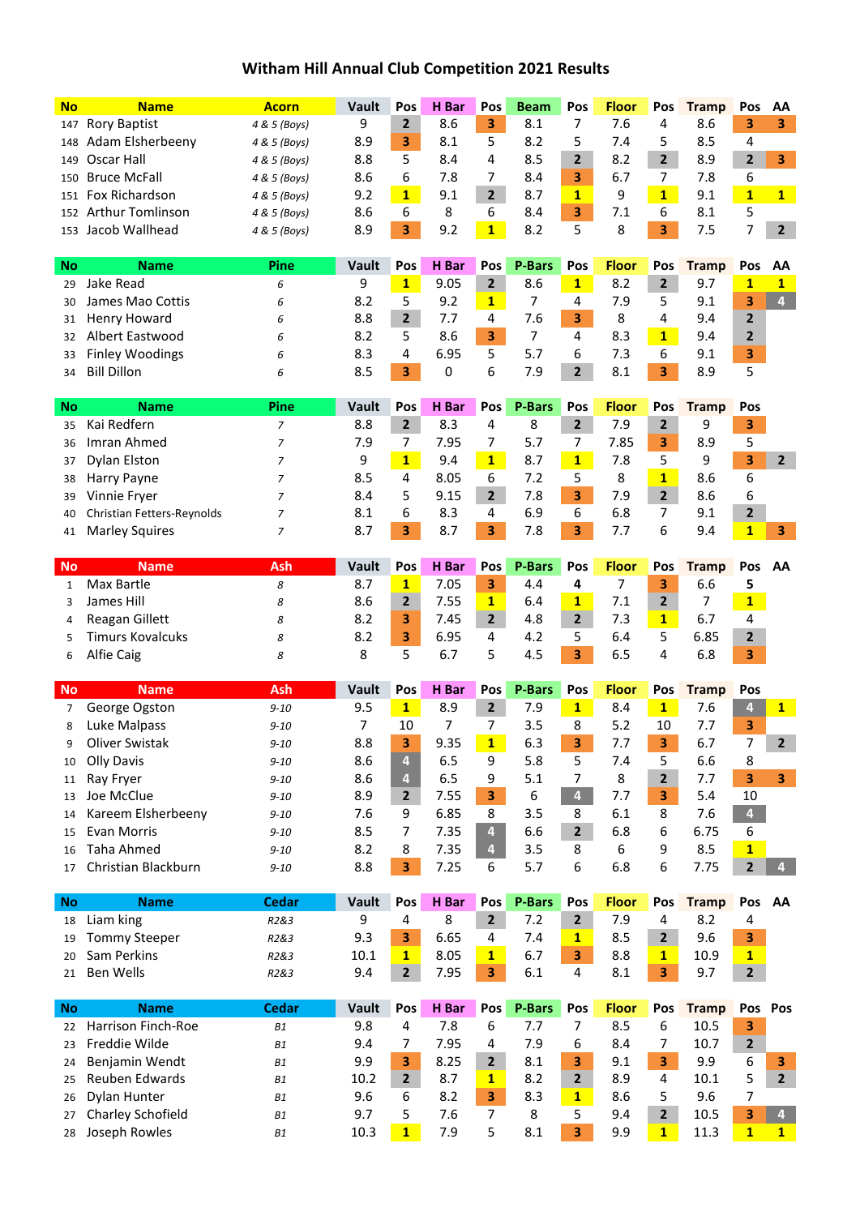## **Witham Hill Annual Club Competition 2021 Results**

| <b>No</b>    | <b>Name</b>                        | <b>Acorn</b>           | Vault       | Pos                     | H Bar         | Pos                     | <b>Beam</b>          | Pos                     | <b>Floor</b>      | Pos                          | <b>Tramp</b>          | Pos                     | AA                             |
|--------------|------------------------------------|------------------------|-------------|-------------------------|---------------|-------------------------|----------------------|-------------------------|-------------------|------------------------------|-----------------------|-------------------------|--------------------------------|
| 147          | <b>Rory Baptist</b>                | 4 & 5 (Boys)           | 9           | $\overline{2}$          | 8.6           | 3                       | 8.1                  | 7                       | 7.6               | 4                            | 8.6                   | 3                       | 3                              |
| 148          | Adam Elsherbeeny                   | 4 & 5 (Boys)           | 8.9         | 3                       | 8.1           | 5                       | 8.2                  | 5                       | 7.4               | 5                            | 8.5                   | $\overline{4}$          |                                |
| 149          | Oscar Hall                         | 4 & 5 (Boys)           | 8.8         | 5                       | 8.4           | 4                       | 8.5                  | $\overline{2}$          | 8.2               | $\overline{2}$               | 8.9                   | $\overline{2}$          | 3                              |
| 150          | <b>Bruce McFall</b>                | 4 & 5 (Boys)           | 8.6         | 6                       | 7.8           | 7                       | 8.4                  | 3                       | 6.7               | 7                            | 7.8                   | 6                       |                                |
| 151          | Fox Richardson                     | 4 & 5 (Boys)           | 9.2         | $\mathbf{1}$            | 9.1           | 2 <sup>1</sup>          | 8.7                  | $\mathbf{1}$            | 9                 | $\mathbf{1}$                 | 9.1                   | $\mathbf{1}$            | $1 -$                          |
| 152          | <b>Arthur Tomlinson</b>            | 4 & 5 (Boys)           | 8.6         | 6                       | 8             | 6                       | 8.4                  | 3                       | 7.1               | 6                            | 8.1                   | 5                       |                                |
|              | 153 Jacob Wallhead                 | 4 & 5 (Boys)           | 8.9         | 3                       | 9.2           | $\overline{\mathbf{1}}$ | 8.2                  | 5                       | 8                 | 3                            | 7.5                   | 7                       | $\overline{2}$                 |
|              |                                    |                        |             |                         |               |                         |                      |                         |                   |                              |                       |                         |                                |
| No           | <b>Name</b>                        | Pine                   | Vault       | Pos                     | H Bar         | Pos                     | <b>P-Bars</b>        | Pos                     | <b>Floor</b>      | Pos                          | <b>Tramp</b>          | Pos                     | AA                             |
| 29           | Jake Read                          | 6                      | 9           | $\mathbf{1}$            | 9.05          | 2 <sup>1</sup>          | 8.6                  | $\mathbf{1}$            | 8.2               | $\overline{2}$               | 9.7                   | $\mathbf{1}$            | $\mathbf{1}$                   |
| 30           | James Mao Cottis                   | 6                      | 8.2         | 5                       | 9.2           | $\mathbf{1}$            | 7                    | 4                       | 7.9               | 5                            | 9.1                   | 3                       | $\overline{\mathbf{4}}$        |
| 31           | Henry Howard                       | 6                      | 8.8         | $\overline{\mathbf{2}}$ | 7.7           | 4                       | 7.6                  | 3                       | 8                 | 4                            | 9.4                   | $\overline{\mathbf{2}}$ |                                |
| 32           | <b>Albert Eastwood</b>             | 6                      | 8.2         | 5                       | 8.6           | 3                       | $\overline{7}$       | 4                       | 8.3               | $\mathbf{1}$                 | 9.4                   | 2                       |                                |
| 33           | <b>Finley Woodings</b>             | 6                      | 8.3         | 4                       | 6.95          | 5                       | 5.7                  | 6                       | 7.3               | 6                            | 9.1                   | 3                       |                                |
| 34           | <b>Bill Dillon</b>                 | 6                      | 8.5         | 3                       | 0             | 6                       | 7.9                  | $\overline{2}$          | 8.1               | 3                            | 8.9                   | 5                       |                                |
|              |                                    |                        |             |                         |               |                         |                      |                         |                   |                              |                       |                         |                                |
| <b>No</b>    | <b>Name</b>                        | Pine                   | Vault       | Pos                     | H Bar         | Pos                     | <b>P-Bars</b>        | Pos                     | <b>Floor</b>      | Pos                          | <b>Tramp</b>          | Pos                     |                                |
| 35           | Kai Redfern                        | $\overline{7}$         | 8.8         | $2^{\circ}$             | 8.3           | 4                       | 8                    | 2 <sup>1</sup>          | 7.9               | $\mathbf{2}$                 | 9                     | 3                       |                                |
| 36           | Imran Ahmed                        | $\overline{z}$         | 7.9         | 7                       | 7.95          | 7                       | 5.7                  | 7                       | 7.85              | 3                            | 8.9                   | 5                       |                                |
| 37           | Dylan Elston                       | 7                      | 9           | $\overline{\mathbf{1}}$ | 9.4           | 1                       | 8.7                  | $\mathbf{1}$            | 7.8               | 5                            | 9                     | 3                       | $\overline{2}$                 |
| 38           | Harry Payne                        | $\overline{7}$         | 8.5         | 4                       | 8.05          | 6                       | 7.2                  | 5                       | 8                 | $\overline{\mathbf{1}}$      | 8.6                   | 6                       |                                |
| 39           | Vinnie Fryer                       | $\overline{7}$         | 8.4         | 5                       | 9.15          | $\overline{2}$          | 7.8                  | 3                       | 7.9               | $\overline{2}$               | 8.6                   | 6                       |                                |
| 40           | Christian Fetters-Reynolds         | $\overline{7}$         | 8.1         | 6                       | 8.3           | 4                       | 6.9                  | 6                       | 6.8               | 7                            | 9.1                   | $\overline{\mathbf{2}}$ |                                |
| 41           | <b>Marley Squires</b>              | 7                      | 8.7         | 3                       | 8.7           | 3 <sup>1</sup>          | 7.8                  | 3                       | 7.7               | 6                            | 9.4                   | $\mathbf{1}$            | 3                              |
|              |                                    |                        | Vault       |                         |               |                         |                      |                         |                   |                              |                       |                         |                                |
| <b>No</b>    | <b>Name</b><br>Max Bartle          | Ash                    |             | Pos<br>$\mathbf{1}$     | H Bar<br>7.05 | Pos                     | <b>P-Bars</b><br>4.4 | Pos                     | <b>Floor</b><br>7 | Pos                          | <b>Tramp</b>          | Pos                     | AA                             |
| $\mathbf{1}$ |                                    | 8                      | 8.7<br>8.6  | $\overline{2}$          |               | 3                       | 6.4                  | 4<br>$\overline{1}$     | 7.1               | 3<br>$\mathbf{2}$            | 6.6<br>$\overline{7}$ | 5                       |                                |
| 3            | James Hill                         | 8                      |             |                         | 7.55          | $\mathbf{1}$            |                      |                         |                   |                              |                       | $\mathbf{1}$            |                                |
| 4            | Reagan Gillett                     | 8                      | 8.2         | 3                       | 7.45          | 2 <sup>1</sup>          | 4.8                  | $\overline{2}$          | 7.3               | $\mathbf{1}$                 | 6.7                   | 4                       |                                |
| 5            | <b>Timurs Kovalcuks</b>            | 8                      | 8.2         | 3                       | 6.95          | 4                       | 4.2                  | 5                       | 6.4               | 5<br>4                       | 6.85                  | 2                       |                                |
| 6            | Alfie Caig                         | 8                      | 8           | 5                       | 6.7           | 5                       | 4.5                  | 3                       | 6.5               |                              | 6.8                   | 3                       |                                |
| <b>No</b>    | <b>Name</b>                        | Ash                    | Vault       | Pos                     | H Bar         | Pos                     | <b>P-Bars</b>        | Pos                     | <b>Floor</b>      | Pos                          | <b>Tramp</b>          | Pos                     |                                |
| 7            | George Ogston                      | $9 - 10$               | 9.5         | $\mathbf{1}$            | 8.9           | $\mathbf{2}$            | 7.9                  | 1                       | 8.4               | $\mathbf{1}$                 | 7.6                   | $\overline{\mathbf{4}}$ | $1 -$                          |
| 8            | Luke Malpass                       | $9 - 10$               | 7           | 10                      | 7             | 7                       | 3.5                  | 8                       | 5.2               | 10                           | 7.7                   | 3                       |                                |
| q            | Oliver Swistak                     | $9 - 10$               | 8.8         | 3                       | 9.35          | $\mathbf{1}$            | 6.3                  | 3                       | 7.7               | 3                            | 6.7                   | 7                       | $\overline{2}$                 |
| 10           | <b>Olly Davis</b>                  | $9 - 10$               | 8.6         | 4                       | 6.5           | 9                       | 5.8                  | 5                       | 7.4               | 5                            | 6.6                   | 8                       |                                |
| 11           | Ray Fryer                          | $9 - 10$               | 8.6         | $\overline{4}$          | 6.5           | 9                       | 5.1                  | 7                       | 8                 | $\mathbf{2}$                 | 7.7                   | 3                       | 3 <sup>1</sup>                 |
| 13           | Joe McClue                         | $9 - 10$               | 8.9         | $\overline{2}$          | 7.55          | 3 <sup>1</sup>          | 6                    | $\overline{\mathbf{4}}$ | 7.7               | 3                            | 5.4                   | 10                      |                                |
| 14           | Kareem Elsherbeeny                 | $9 - 10$               | 7.6         | 9                       | 6.85          | 8                       | 3.5                  | 8                       | 6.1               | 8                            | 7.6                   | $\overline{\mathbf{4}}$ |                                |
| 15           | Evan Morris                        | $9 - 10$               | 8.5         | 7                       | 7.35          | $\overline{\mathbf{4}}$ | 6.6                  | $\overline{2}$          | 6.8               | 6                            | 6.75                  | 6                       |                                |
| 16           | <b>Taha Ahmed</b>                  | $9 - 10$               | 8.2         | 8                       | 7.35          | $\overline{4}$          | 3.5                  | 8                       | $\boldsymbol{6}$  | 9                            | 8.5                   | $\mathbf{1}$            |                                |
| 17           | Christian Blackburn                | $9 - 10$               | 8.8         | 3.                      | 7.25          | 6                       | 5.7                  | 6                       | 6.8               | 6                            | 7.75                  | $\mathbf{2}$            |                                |
|              |                                    |                        |             |                         |               |                         |                      |                         |                   |                              |                       |                         |                                |
| <b>No</b>    | <b>Name</b>                        | <b>Cedar</b>           | Vault       | Pos                     | H Bar         | Pos                     | <b>P-Bars</b>        | Pos                     | <b>Floor</b>      | Pos                          | <b>Tramp</b>          | Pos                     | AA                             |
| 18           | Liam king                          | R2&3                   | 9           | 4                       | 8             | $\overline{2}$          | 7.2                  | 2 <sup>1</sup>          | 7.9               | 4                            | 8.2                   | 4                       |                                |
| 19           | <b>Tommy Steeper</b>               | R2&3                   | 9.3         | 3                       | 6.65          | 4                       | 7.4                  | $\mathbf{1}$            | 8.5               | $\overline{2}$               | 9.6                   | 3.                      |                                |
| 20           | Sam Perkins                        | R2&3                   | 10.1        | $\mathbf{1}$            | 8.05          | 1                       | 6.7                  | 3                       | 8.8               | $\mathbf{1}$                 | 10.9                  | $\mathbf{1}$            |                                |
| 21           | Ben Wells                          | R2&3                   | 9.4         | $\overline{2}$          | 7.95          | $\overline{\mathbf{3}}$ | 6.1                  | 4                       | 8.1               | 3                            | 9.7                   | $2^{\circ}$             |                                |
| No.          | <b>Name</b>                        | <b>Cedar</b>           | Vault       | Pos                     | H Bar         | Pos                     | <b>P-Bars</b>        | Pos                     | <b>Floor</b>      | Pos                          | <b>Tramp</b>          | Pos Pos                 |                                |
| 22           | Harrison Finch-Roe                 | <b>B1</b>              | 9.8         | 4                       | 7.8           | 6                       | 7.7                  | 7                       | 8.5               | 6                            | 10.5                  | 3                       |                                |
| 23           | Freddie Wilde                      | <b>B1</b>              | 9.4         | 7                       | 7.95          | 4                       | 7.9                  | 6                       | 8.4               | 7                            | 10.7                  | $\overline{2}$          |                                |
| 24           | Benjamin Wendt                     | <b>B1</b>              | 9.9         | 3                       | 8.25          | 2 <sup>1</sup>          | 8.1                  | 3                       | 9.1               | 3                            | 9.9                   | 6                       | 3                              |
| 25           | Reuben Edwards                     | <b>B1</b>              | 10.2        | $\overline{2}$          | 8.7           | $\mathbf{1}$            | 8.2                  | $\overline{2}$          | 8.9               | 4                            | 10.1                  | 5                       | $\overline{2}$                 |
|              |                                    |                        |             |                         |               |                         |                      |                         |                   |                              |                       |                         |                                |
|              |                                    |                        |             |                         |               |                         |                      |                         |                   |                              |                       |                         |                                |
| 26           | Dylan Hunter                       | <b>B1</b>              | 9.6         | 6                       | 8.2           | 3                       | 8.3                  | $\mathbf{1}$            | 8.6               | 5                            | 9.6                   | 7                       |                                |
| 27<br>28     | Charley Schofield<br>Joseph Rowles | <b>B1</b><br><b>B1</b> | 9.7<br>10.3 | 5<br>$1 -$              | 7.6<br>7.9    | 7<br>5                  | 8<br>8.1             | 5<br>3                  | 9.4<br>9.9        | $\mathbf{2}$<br>$\mathbf{1}$ | 10.5<br>11.3          | 3<br>$\mathbf{1}$       | 4 <sup>1</sup><br>$\mathbf{1}$ |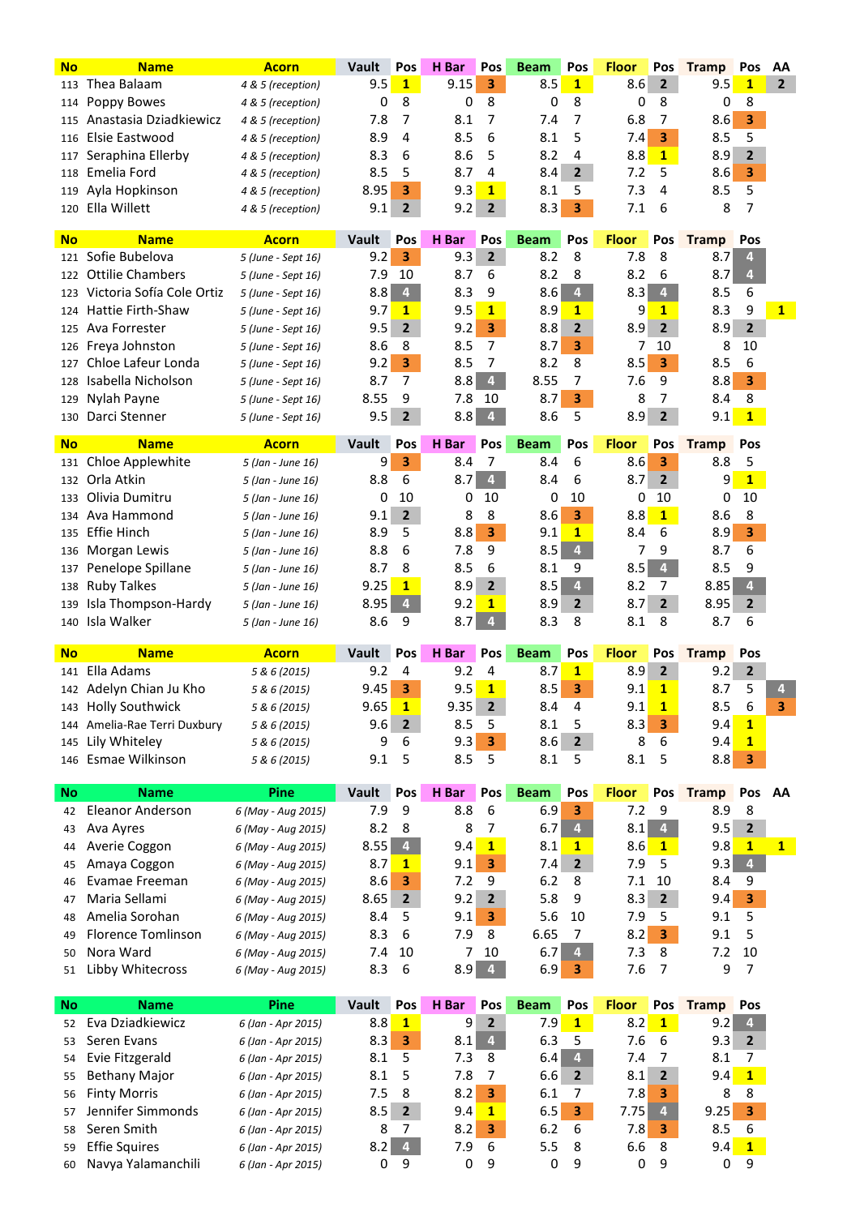| <b>No</b> | <b>Name</b>                                | <b>Acorn</b>                             | Vault        | Pos                     | H Bar        | Pos                     | <b>Beam</b>        | Pos                 | <b>Floor</b>        | Pos            | <b>Tramp</b> | Pos                     | ΑA             |
|-----------|--------------------------------------------|------------------------------------------|--------------|-------------------------|--------------|-------------------------|--------------------|---------------------|---------------------|----------------|--------------|-------------------------|----------------|
| 113       | Thea Balaam                                | 4 & 5 (reception)                        | 9.5          | $\mathbf{1}$            | 9.15         | 3                       | 8.5                | $\mathbf{1}$        | 8.6                 | $\overline{2}$ | 9.5          | $\mathbf{1}$            | $\overline{2}$ |
| 114       | Poppy Bowes                                | 4 & 5 (reception)                        | 0            | 8                       | 0            | 8                       | 0                  | 8                   | 0                   | 8              | 0            | 8                       |                |
| 115       | Anastasia Dziadkiewicz                     | 4 & 5 (reception)                        | 7.8          | 7                       | 8.1          | 7                       | 7.4                | 7                   | 6.8                 | 7              | 8.6          | 3                       |                |
| 116       | Elsie Eastwood                             | 4 & 5 (reception)                        | 8.9          | 4                       | 8.5          | 6                       | 8.1                | 5                   | 7.4                 | 3              | 8.5          | 5                       |                |
| 117       | Seraphina Ellerby                          | 4 & 5 (reception)                        | 8.3          | 6                       | 8.6          | 5                       | 8.2                | 4                   | 8.8                 | $\mathbf{1}$   | 8.9          | 2                       |                |
| 118       | Emelia Ford                                | 4 & 5 (reception)                        | 8.5          | 5                       | 8.7          | 4                       | 8.4                | $\overline{2}$      | 7.2                 | 5              | 8.6          | 3                       |                |
| 119       | Ayla Hopkinson                             | 4 & 5 (reception)                        | 8.95         | 3                       | 9.3          | $\mathbf{1}$            | 8.1                | 5                   | 7.3                 | 4              | 8.5          | 5                       |                |
| 120       | Ella Willett                               | 4 & 5 (reception)                        | 9.1          | 2                       | 9.2          | $\overline{2}$          | 8.3                | 3                   | 7.1                 | 6              | 8            | 7                       |                |
|           |                                            |                                          |              |                         |              |                         |                    |                     |                     |                |              |                         |                |
| <b>No</b> | <b>Name</b><br>Sofie Bubelova              | <b>Acorn</b>                             | Vault<br>9.2 | Pos                     | H Bar<br>9.3 | Pos<br>$\overline{2}$   | <b>Beam</b><br>8.2 | Pos                 | <b>Floor</b><br>7.8 | Pos            | <b>Tramp</b> | Pos                     |                |
| 121       | <b>Ottilie Chambers</b>                    | 5 (June - Sept 16)                       |              | 3                       |              |                         |                    | 8                   |                     | 8              | 8.7          | 4                       |                |
| 122       |                                            | 5 (June - Sept 16)                       | 7.9          | 10<br>$\overline{4}$    | 8.7          | 6                       | 8.2                | 8<br>4 <sup>1</sup> | 8.2                 | 6              | 8.7          | 4                       |                |
| 123       | Victoria Sofía Cole Ortiz                  | 5 (June - Sept 16)                       | 8.8          |                         | 8.3          | 9<br>$\mathbf{1}$       | 8.6                |                     | 8.3                 | 4<br>1         | 8.5          | 6                       |                |
| 124       | Hattie Firth-Shaw                          | 5 (June - Sept 16)                       | 9.7          | 1                       | 9.5          |                         | 8.9                | 1                   | 9                   |                | 8.3          | 9                       | $\mathbf{1}$   |
| 125       | Ava Forrester                              | 5 (June - Sept 16)                       | 9.5          | 2                       | 9.2          | 3                       | 8.8                | 2                   | 8.9                 | 2              | 8.9          | $\mathbf{2}$            |                |
| 126       | Freya Johnston                             | 5 (June - Sept 16)                       | 8.6          | 8                       | 8.5          | 7                       | 8.7                | 3                   | 7                   | 10             | 8            | 10                      |                |
| 127       | Chloe Lafeur Londa<br>Isabella Nicholson   | 5 (June - Sept 16)                       | 9.2          | 3<br>7                  | 8.5<br>8.8   | 7<br>$\overline{4}$     | 8.2<br>8.55        | 8<br>7              | 8.5<br>7.6          | 3              | 8.5<br>8.8   | 6                       |                |
| 128       |                                            | 5 (June - Sept 16)                       | 8.7          |                         |              |                         |                    |                     |                     | 9              |              | 3                       |                |
| 129       | Nylah Payne                                | 5 (June - Sept 16)                       | 8.55         | 9                       | 7.8          | 10                      | 8.7                | 3                   | 8                   | 7              | 8.4          | 8                       |                |
| 130       | Darci Stenner                              | 5 (June - Sept 16)                       | 9.5          | 2                       | 8.8          | 4                       | 8.6                | 5                   | 8.9                 | 2              | 9.1          | $\mathbf{1}$            |                |
| <b>No</b> | <b>Name</b>                                | <b>Acorn</b>                             | Vault        | Pos                     | H Bar        | Pos                     | <b>Beam</b>        | Pos                 | <b>Floor</b>        | Pos            | <b>Tramp</b> | Pos                     |                |
| 131       | Chloe Applewhite                           | 5 (Jan - June 16)                        | 9            | 3                       | 8.4          | 7                       | 8.4                | 6                   | 8.6                 | 3              | 8.8          | 5                       |                |
| 132       | Orla Atkin                                 | 5 (Jan - June 16)                        | 8.8          | 6                       | 8.7          | $\overline{\mathbf{4}}$ | 8.4                | 6                   | 8.7                 | 2              | 9            | $\mathbf{1}$            |                |
| 133       | Olivia Dumitru                             | 5 (Jan - June 16)                        | 0            | 10                      | 0            | 10                      | 0                  | 10                  | 0                   | 10             | 0            | 10                      |                |
| 134       | Ava Hammond                                | 5 (Jan - June 16)                        | 9.1          | $\mathbf{2}$            | 8            | 8                       | 8.6                | 3                   | 8.8                 | $\mathbf{1}$   | 8.6          | 8                       |                |
| 135       | Effie Hinch                                | 5 (Jan - June 16)                        | 8.9          | 5                       | 8.8          | 3                       | 9.1                | $\mathbf{1}$        | 8.4                 | 6              | 8.9          | з                       |                |
| 136       | Morgan Lewis                               | 5 (Jan - June 16)                        | 8.8          | 6                       | 7.8          | 9                       | 8.5                | $\overline{4}$      | 7                   | 9              | 8.7          | 6                       |                |
| 137       | Penelope Spillane                          | 5 (Jan - June 16)                        | 8.7          | 8                       | 8.5          | 6                       | 8.1                | 9                   | 8.5                 | 4              | 8.5          | 9                       |                |
| 138       | <b>Ruby Talkes</b>                         | 5 (Jan - June 16)                        | 9.25         | $\mathbf{1}$            | 8.9          | $\overline{2}$          | 8.5                | 4                   | 8.2                 | 7              | 8.85         | $\overline{4}$          |                |
| 139       | Isla Thompson-Hardy                        | 5 (Jan - June 16)                        | 8.95         | 4                       | 9.2          | $\mathbf{1}$            | 8.9                | $\mathbf{2}$        | 8.7                 | $\overline{2}$ | 8.95         | 2                       |                |
| 140       | Isla Walker                                | 5 (Jan - June 16)                        | 8.6          | 9                       | 8.7          | 4                       | 8.3                | 8                   | 8.1                 | 8              | 8.7          | 6                       |                |
| <b>No</b> | <b>Name</b>                                | <b>Acorn</b>                             | Vault        | Pos                     | H Bar        | Pos                     | <b>Beam</b>        | Pos                 | <b>Floor</b>        | Pos            | <b>Tramp</b> | Pos                     |                |
|           | 141 Ella Adams                             |                                          | 9.2          | 4                       | 9.2          | 4                       | 8.7                | $\mathbf{1}$        | 8.9                 | $\overline{2}$ | 9.2          | $\overline{2}$          |                |
|           | 142 Adelyn Chian Ju Kho                    | 5 & 6 (2015)                             | 9.45         | 3                       | 9.5          | $\mathbf{1}$            | 8.5                | 3                   | 9.1                 | $\mathbf{1}$   | 8.7          | 5                       | 4              |
|           | 143 Holly Southwick                        | 5 & 6 (2015)                             |              |                         |              |                         |                    |                     |                     |                |              | 6                       | 3              |
|           |                                            |                                          |              |                         |              |                         |                    |                     |                     |                |              |                         |                |
|           |                                            | 5 & 6 (2015)                             | 9.65         | $\overline{\mathbf{1}}$ | 9.35         | $\mathbf 2$             | 8.4                | $\overline{4}$      | 9.1                 | $\mathbf{1}$   | 8.5          |                         |                |
|           | 144 Amelia-Rae Terri Duxbury               | 5 & 6 (2015)                             | 9.6          | $\overline{2}$          | 8.5          | 5                       | 8.1                | 5                   | 8.3                 | 3              | 9.4          | $\mathbf{1}$            |                |
| 145       | Lily Whiteley                              | 5 & 6 (2015)                             | 9            | 6                       | 9.3          | 3                       | 8.6                | $2^{\circ}$         | 8                   | 6              | 9.4          | $\mathbf{1}$            |                |
| 146       | Esmae Wilkinson                            | 5 & 6 (2015)                             | 9.1          | 5                       | 8.5          | 5                       | 8.1                | 5                   | 8.1                 | 5              | 8.8          | 3                       |                |
| <b>No</b> | <b>Name</b>                                | Pine                                     | Vault        | Pos                     | H Bar        | Pos                     | <b>Beam</b>        | Pos                 | <b>Floor</b>        | Pos            | <b>Tramp</b> | Pos                     | AA             |
| 42        | <b>Eleanor Anderson</b>                    | 6 (May - Aug 2015)                       | 7.9          | 9                       | 8.8          | 6                       | 6.9                | 3                   | 7.2                 | 9              | 8.9          | 8                       |                |
| 43        | Ava Ayres                                  | 6 (May - Aug 2015)                       | 8.2          | 8                       | 8            | 7                       | 6.7                | 4 <sup>1</sup>      | 8.1                 | $\overline{4}$ | 9.5          | $\overline{2}$          |                |
| 44        | Averie Coggon                              | 6 (May - Aug 2015)                       | 8.55         | 4 <sup>1</sup>          | 9.4          | $\mathbf{1}$            | 8.1                | $\mathbf{1}$        | 8.6                 | $\mathbf{1}$   | 9.8          | $\mathbf{1}$            | $\mathbf{1}$   |
| 45        | Amaya Coggon                               | 6 (May - Aug 2015)                       | 8.7          | $\mathbf{1}$            | 9.1          | 3                       | 7.4                | 2 <sub>2</sub>      | 7.9                 | 5              | 9.3          | $\overline{\mathbf{4}}$ |                |
| 46        | Evamae Freeman                             |                                          | 8.6          | 3                       | 7.2          | 9                       | 6.2                | 8                   | 7.1                 | 10             | 8.4          | 9                       |                |
| 47        | Maria Sellami                              | 6 (May - Aug 2015)                       |              | $\overline{2}$          | 9.2          | $\overline{2}$          | 5.8                | 9                   | 8.3                 | 2 <sup>1</sup> | 9.4          | $\overline{\mathbf{3}}$ |                |
| 48        | Amelia Sorohan                             | 6 (May - Aug 2015)                       | 8.65<br>8.4  | 5                       | 9.1          | 3                       | 5.6                | 10                  | 7.9                 | 5              | 9.1          | 5                       |                |
| 49        | <b>Florence Tomlinson</b>                  | 6 (May - Aug 2015)                       |              | 6                       | 7.9          | 8                       | 6.65               | 7                   |                     | 3              | 9.1          | 5                       |                |
| 50        | Nora Ward                                  | 6 (May - Aug 2015)                       | 8.3<br>7.4   | 10                      | 7            | 10                      | 6.7                | 4 <sup>1</sup>      | 8.2<br>7.3          | 8              |              | 10                      |                |
| 51        | Libby Whitecross                           | 6 (May - Aug 2015)<br>6 (May - Aug 2015) | 8.3          | 6                       | 8.9          | $\overline{4}$          | 6.9                | 3.                  | 7.6                 | 7              | 7.2<br>9     | 7                       |                |
|           |                                            |                                          |              |                         |              |                         |                    |                     |                     |                |              |                         |                |
| <b>No</b> | <b>Name</b>                                | Pine                                     | Vault        | Pos                     | H Bar        | Pos                     | <b>Beam</b>        | Pos                 | <b>Floor</b>        | Pos            | <b>Tramp</b> | Pos                     |                |
| 52        | Eva Dziadkiewicz                           | 6 (Jan - Apr 2015)                       | 8.8          | $\mathbf{1}$            | 9            | $\overline{2}$          | 7.9                | 1                   | 8.2                 | 1              | 9.2          | $\overline{\mathbf{4}}$ |                |
| 53        | Seren Evans                                | 6 (Jan - Apr 2015)                       | 8.3          | 3                       | 8.1          | $\overline{\mathbf{4}}$ | 6.3                | 5                   | 7.6                 | 6              | 9.3          | $\overline{2}$          |                |
| 54        | Evie Fitzgerald                            | 6 (Jan - Apr 2015)                       | 8.1          | 5                       | 7.3          | 8                       | 6.4                | 4 <sup>1</sup>      | 7.4                 | 7              | 8.1          | $\overline{7}$          |                |
| 55        | <b>Bethany Major</b>                       | 6 (Jan - Apr 2015)                       | 8.1          | 5                       | 7.8          | 7                       | 6.6                | $2^{\circ}$         | 8.1                 | $\overline{2}$ | 9.4          | $\mathbf{1}$            |                |
| 56        | <b>Finty Morris</b>                        | 6 (Jan - Apr 2015)                       | 7.5          | 8                       | 8.2          | 3                       | 6.1                | 7                   | 7.8                 | 3              | 8            | 8                       |                |
| 57        | Jennifer Simmonds                          | 6 (Jan - Apr 2015)                       | 8.5          | 2 <sup>1</sup>          | 9.4          | $\mathbf{1}$            | $6.5\,$            | 3                   | 7.75                | $\overline{4}$ | 9.25         | $\overline{\mathbf{3}}$ |                |
| 58        | Seren Smith                                | 6 (Jan - Apr 2015)                       | 8            | 7                       | 8.2          | 3                       | 6.2                | 6                   | 7.8                 | 3              | 8.5          | 6                       |                |
| 59<br>60  | <b>Effie Squires</b><br>Navya Yalamanchili | 6 (Jan - Apr 2015)<br>6 (Jan - Apr 2015) | 8.2<br>0     | $\overline{4}$<br>9     | 7.9<br>0     | 6<br>9                  | 5.5<br>0           | 8<br>9              | 6.6<br>0            | 8<br>9         | 9.4<br>0     | $\mathbf{1}$<br>9       |                |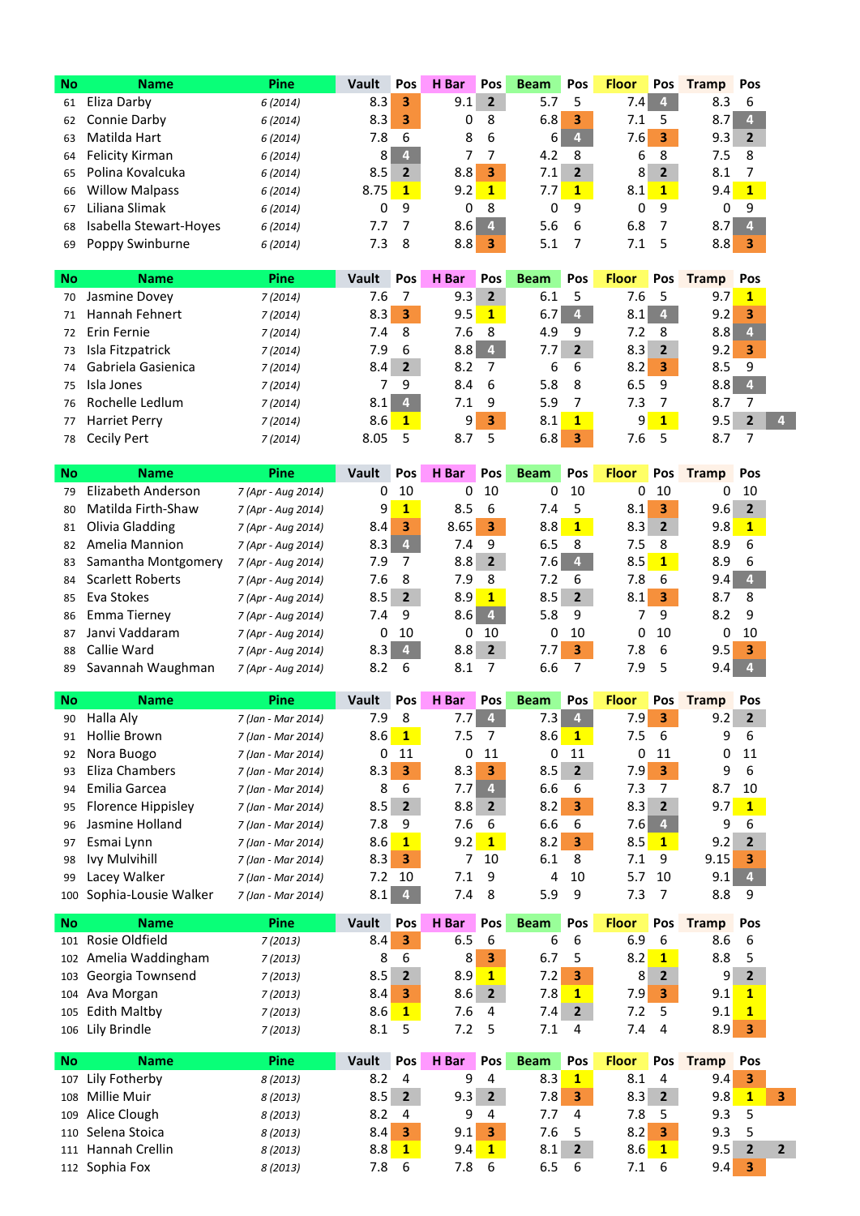| <b>No</b> | <b>Name</b>            | Pine     | Vault | Pos         | H Bar | <b>Pos</b>     | <b>Beam</b> | <b>Pos</b>     | <b>Floor</b> | <b>Pos</b>     | <b>Tramp</b> | Pos |
|-----------|------------------------|----------|-------|-------------|-------|----------------|-------------|----------------|--------------|----------------|--------------|-----|
| 61        | Eliza Darby            | 6 (2014) | 8.3   | 3           | 9.1   | $\overline{2}$ | 5.7         |                | 7.4          | $\overline{4}$ | 8.3          | -6  |
| 62        | Connie Darby           | 6 (2014) | 8.3   | з           | 0     | 8              | 6.8         | з              | 7.1          | 5              | 8.7          | 4   |
| 63        | Matilda Hart           | 6 (2014) | 7.8   | 6           | 8     | -6             | $6 \mid$    | $\overline{4}$ | 7.6 I        | 3              | 9.3          |     |
| 64        | Felicity Kirman        | 6(2014)  | 8     | 4           |       |                | 4.2         | -8             | 6            | -8             | 7.5          | 8   |
| 65        | Polina Kovalcuka       | 6 (2014) | 8.5   |             | 8.8   | 3              | 7.11        |                | 8            | $\overline{2}$ | 8.1          |     |
| 66        | <b>Willow Malpass</b>  | 6 (2014) | 8.75  | $\mathbf 1$ | 9.2   | -1             | 7.7         | 1              | 8.1          | 1              | 9.4          |     |
| 67        | Liliana Slimak         | 6 (2014) | 0     | 9           | 0     | -8             | 0           | 9              | 0            | 9              | 0            | 9   |
| 68        | Isabella Stewart-Hoyes | 6 (2014) | 7.7   |             | 8.6   | 4              | 5.6         | -6             | 6.8          |                | 8.7          | 4   |
| 69        | Poppy Swinburne        | 6 (2014) | 7.3   | 8           | 8.8   | з              | 5.1         |                |              | 5              | 8.8          |     |

| <b>No</b> | <b>Name</b>          | Pine     | Vault | <b>Pos</b>     | H Bar | <b>Pos</b>   | <b>Beam</b> | <b>Pos</b>     | <b>Floor</b>   |                | Pos Tramp | Pos            |
|-----------|----------------------|----------|-------|----------------|-------|--------------|-------------|----------------|----------------|----------------|-----------|----------------|
| 70        | Jasmine Dovey        | 7(2014)  | 7.6   |                | 9.3   | 2            | 6.1         |                | 7.6            |                | 9.7       | $\mathbf{1}$   |
| 71        | Hannah Fehnert       | 7(2014)  | 8.3   | 3              | 9.5   | $\mathbf{1}$ | 6.7         | $\overline{4}$ | 8.1            | $\overline{4}$ | 9.2       | з              |
| 72        | Erin Fernie          | 7(2014)  | 7.4   | -8             | 7.6   | -8           | 4.9         | 9              | 7.2            | 8              | 8.8       |                |
| 73        | Isla Fitzpatrick     | 7 (2014) | 7.9   | - 6            | 8.8   | 4            | 7.7         | $\overline{2}$ | 8.3            | $\overline{2}$ | 9.2       | з              |
| 74        | Gabriela Gasienica   | 7 (2014) | 8.4   | $\overline{2}$ | 8.2   |              | 6           | 6              | 8.2            | з              | 8.5       | -9             |
| 75        | Isla Jones           | 7(2014)  |       | 9              | 8.4   | 6            | 5.8         | 8              | 6.5            | 9              | 8.8       | $\overline{4}$ |
| 76        | Rochelle Ledlum      | 7(2014)  | 8.1   | 4              | 7.1   | 9            | 5.9         |                | 7.3            |                | 8.7       |                |
| 77        | <b>Harriet Perry</b> | 7(2014)  | 8.6   | 1              | 9     | 3            | 8.1         | 1              | 9 <sup>1</sup> | $\mathbf{1}$   | 9.5       |                |
| 78        | Cecily Pert          | 7 (2014) | 8.05  |                | 8.7   | 5            | 6.8         | 3              | 7.6            |                | 8.7       |                |

| <b>No</b> | <b>Name</b>             | Pine               | Vault | <b>Pos</b>     | H Bar | <b>Pos</b>     | <b>Beam</b> | <b>Pos</b>     | <b>Floor</b> | <b>Pos</b>     | <b>Tramp</b> | Pos         |
|-----------|-------------------------|--------------------|-------|----------------|-------|----------------|-------------|----------------|--------------|----------------|--------------|-------------|
| 79        | Elizabeth Anderson      | 7 (Apr - Aug 2014) | 0     | 10             | 0     | 10             | 0           | 10             | 0            | 10             | 0            | 10          |
| 80        | Matilda Firth-Shaw      | 7 (Apr - Aug 2014) | 9     | 1              | 8.5   | 6              | 7.4         | 5              | 8.1          | з              | 9.6          | 2           |
| 81        | Olivia Gladding         | 7 (Apr - Aug 2014) | 8.4   | 3              | 8.65  | 3              | 8.8         | $\mathbf{1}$   | 8.3          | $\overline{2}$ | 9.8          | $\mathbf 1$ |
| 82        | Amelia Mannion          | 7 (Apr - Aug 2014) | 8.3   | $\overline{4}$ | 7.4   | 9              | 6.5         | 8              | 7.5          | 8              | 8.9          | 6           |
| 83        | Samantha Montgomery     | 7 (Apr - Aug 2014) | 7.9   | 7              | 8.8   | $\overline{2}$ | 7.6 I       | 4              | 8.5          | $\mathbf 1$    | 8.9          | 6           |
| 84        | <b>Scarlett Roberts</b> | 7 (Apr - Aug 2014) | 7.6   | 8              | 7.9   | 8              | 7.2         | 6              | 7.8          | 6              | 9.4          | 4.          |
| 85        | Eva Stokes              | 7 (Apr - Aug 2014) | 8.5   | $\overline{2}$ | 8.9   | $\mathbf{1}$   | 8.5         | $\overline{2}$ | 8.1          | З.             | 8.7          | -8          |
| 86        | Emma Tierney            | 7 (Apr - Aug 2014) | 7.4   | 9              | 8.6   | 4              | 5.8         | 9              | 7            | q              | 8.2          | 9           |
| 87        | Janvi Vaddaram          | 7 (Apr - Aug 2014) | 0     | 10             | 0     | 10             | 0           | 10             | 0            | 10             | 0            | 10          |
| 88        | Callie Ward             | 7 (Apr - Aug 2014) | 8.3   | $\overline{4}$ | 8.8   | $\mathbf{2}$   | 7.71        | 3              | 7.8          | -6             | 9.5          | 3           |
| 89        | Savannah Waughman       | 7 (Apr - Aug 2014) | 8.2   | 6              | 8.1   |                | 6.6         |                | 7.9          | 5              | 9.4          |             |

| <b>No</b> | <b>Name</b>          | <b>Pine</b>        | Vault | <b>Pos</b>     | н<br>  Bar | <b>Pos</b>   | <b>Beam</b> | <b>Pos</b>     | <b>Floor</b> | <b>Pos</b>   | Tramp | <b>Pos</b>      |
|-----------|----------------------|--------------------|-------|----------------|------------|--------------|-------------|----------------|--------------|--------------|-------|-----------------|
| 90        | Halla Aly            | 7 (Jan - Mar 2014) | 7.9   | 8              | 7.7        | 4            | 7.3         | 4              | 7.9          | 3            | 9.2   | $\overline{2}$  |
| 91        | Hollie Brown         | 7 (Jan - Mar 2014) | 8.6   | $\mathbf{1}$   | 7.5        |              | 8.6         | $\mathbf 1$    | 7.5          | - 6          | 9     | 6               |
| 92        | Nora Buogo           | 7 (Jan - Mar 2014) | 0     | 11             | 0          | 11           | 0           | 11             | 0            | -11          |       | 0 <sub>11</sub> |
| 93        | Eliza Chambers       | 7 (Jan - Mar 2014) | 8.3   | 3              | 8.3        | 3            | 8.5         | $\overline{2}$ | 7.9          | -3           | 9     | -6              |
| 94        | Emilia Garcea        | 7 (Jan - Mar 2014) | 8     | 6              | 7.7        | 4.           | 6.6         | -6             | 7.3          |              | 8.7   | 10              |
| 95        | Florence Hippisley   | 7 (Jan - Mar 2014) | 8.5   | $\overline{2}$ | 8.8        | -2           | 8.2         | з              | 8.3          | 2            | 9.7   |                 |
| 96        | Jasmine Holland      | 7 (Jan - Mar 2014) | 7.8   | 9              | 7.6        | -6           | 6.6         | -6             | 7.61         | 4            | 9     | -6              |
| 97        | Esmai Lynn           | 7 (Jan - Mar 2014) | 8.6   | $\mathbf{1}$   | 9.2        | $\mathbf{1}$ | 8.2         | 3              | 8.5          | $\mathbf{1}$ | 9.2   | $\mathbf{z}$    |
| 98        | Ivy Mulvihill        | 7 (Jan - Mar 2014) | 8.3   | з              |            | 10           | 6.1         | -8             | 7.1          | 9            | 9.15  | 3               |
| 99        | Lacey Walker         | 7 (Jan - Mar 2014) | 7.2   | 10             | 7.1        | -9           | 4           | 10             | 5.7          | 10           | 9.1   | 4.              |
| 100       | Sophia-Lousie Walker | 7 (Jan - Mar 2014) | 8.1   | 4              | 7.4        | 8            | 5.9         | 9              | 7.3          |              | 8.8   | 9               |

| <b>No</b> | <b>Name</b>           | <b>Pine</b> | Vault | Pos            | H Bar          | <b>Pos</b>     | <b>Beam</b> | <b>Pos</b>     | <b>Floor</b> | <b>Pos</b>     | <b>Tramp</b> | Pos            |
|-----------|-----------------------|-------------|-------|----------------|----------------|----------------|-------------|----------------|--------------|----------------|--------------|----------------|
|           | 101 Rosie Oldfield    | 7 (2013)    | 8.4   | 3              | 6.5            | b              | 6           | -6             | 6.9          | 6              | 8.6          | -6             |
|           | 102 Amelia Waddingham | 7(2013)     | 8     | -6             | 8 <sub>l</sub> | 3              | 6.7         |                | 8.2          | 1              | 8.8          |                |
|           | 103 Georgia Townsend  | 7 (2013)    | 8.5   | $\overline{2}$ | 8.9            |                | 7.21        | 3              | 8            | $\overline{2}$ | 9            | $\overline{2}$ |
|           | 104 Ava Morgan        | 7 (2013)    | 8.4   | 3              | 8.6            | $\overline{2}$ | 7.81        |                | 7.91         | з              | 9.1          |                |
|           | 105 Edith Maltby      | 7 (2013)    | 8.6   |                | 7.6            | 4              | 7.4 I       | $\overline{2}$ | 7.2          |                | 9.1          | 1              |
|           | 106 Lily Brindle      | 7 (2013)    | 8.1   |                | 7.2            |                | 7.1         | 4              | 7.4          | 4              | 8.91         | 3              |

| <b>No</b> | <b>Name</b>        | Pine     | Vault | <b>Pos</b>     | H Bar   | <b>Pos</b>   | <b>Beam</b> | Pos                     | <b>Floor</b>     | <b>Pos</b>     | <b>Tramp</b> | Pos |  |
|-----------|--------------------|----------|-------|----------------|---------|--------------|-------------|-------------------------|------------------|----------------|--------------|-----|--|
|           | 107 Lily Fotherby  | 8 (2013) | 8.2   | 4              | 9       | -4           | 8.3         |                         | 8.1              | 4              | 9.4          | 3   |  |
|           | 108 Millie Muir    | 8 (2013) | 8.5   | $\overline{2}$ | $9.3$ 2 |              | 7.81        | 3                       | 8.3              | $\overline{2}$ | 9.8          |     |  |
|           | 109 Alice Clough   | 8 (2013) | 8.2   | 4              | 9       | -4           | 7.7         | 4                       | 7.8              |                | 9.3          | - 5 |  |
|           | 110 Selena Stoica  | 8 (2013) | 8.4   | з              | 9.1     | - 3          | 7.6         |                         | 8.2 <sub>1</sub> | 3              | 9.3          | - 5 |  |
|           | 111 Hannah Crellin | 8 (2013) | 8.8   | 1              | 9.4     | $\mathbf{1}$ | 8.1         | $\overline{\mathbf{2}}$ | 8.6              | 1              | 9.5          |     |  |
|           | 112 Sophia Fox     | 8 (2013) | 7.8   | 6              | 7.8     | - 6          | 6.5         | 6                       | 7.1              | -6             | 9.4          | з   |  |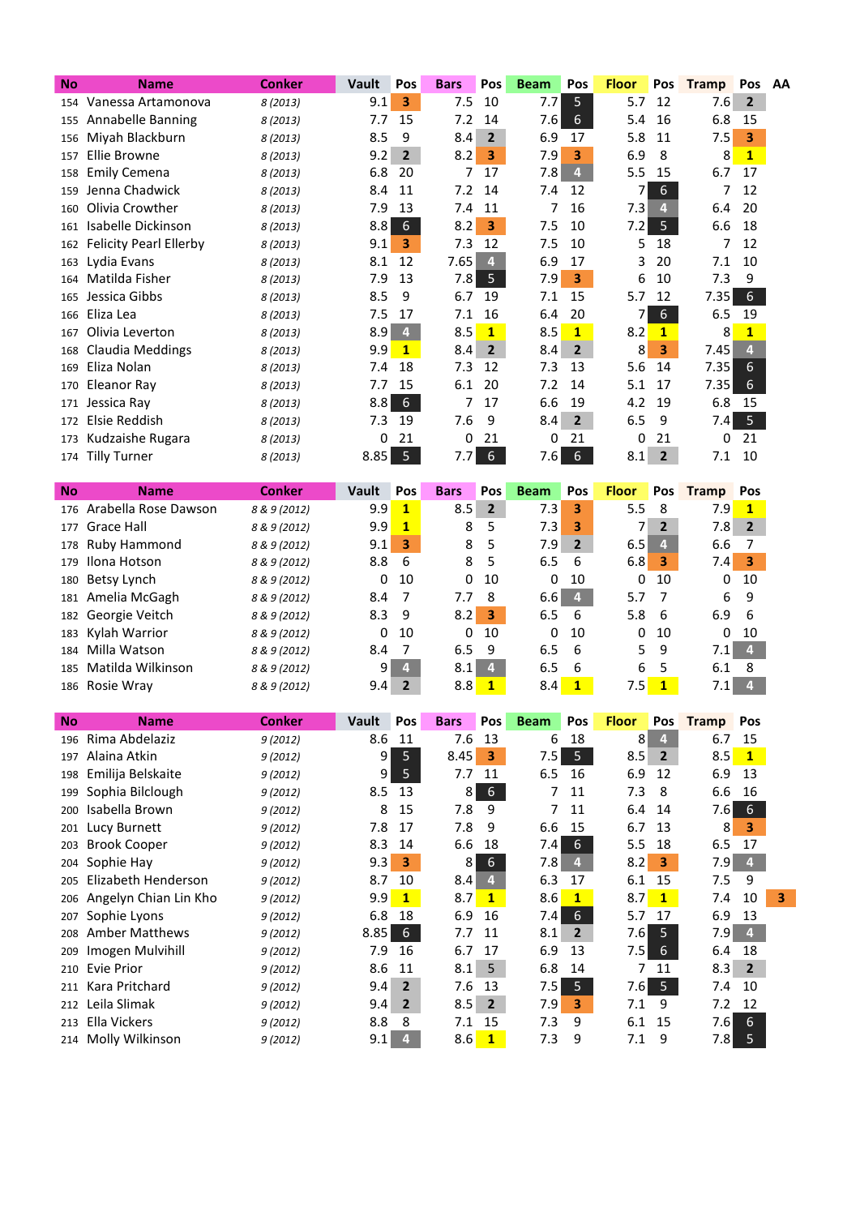| <b>No</b> | <b>Name</b>                   | <b>Conker</b> | Vault | Pos            | <b>Bars</b> | Pos            | <b>Beam</b> | Pos            | <b>Floor</b> | Pos              | <b>Tramp</b> | Pos AA         |  |
|-----------|-------------------------------|---------------|-------|----------------|-------------|----------------|-------------|----------------|--------------|------------------|--------------|----------------|--|
|           | 154 Vanessa Artamonova        | 8 (2013)      | 9.1   | 3              | 7.5         | 10             | 7.7         | 5              | 5.7          | 12               | 7.6          | $\overline{2}$ |  |
| 155       | Annabelle Banning             | 8 (2013)      | 7.7   | 15             | 7.2         | 14             | 7.6         | 6              | 5.4          | 16               | 6.8          | 15             |  |
| 156       | Miyah Blackburn               | 8 (2013)      | 8.5   | 9              | 8.4         | $\overline{2}$ | 6.9         | 17             | 5.8          | 11               | 7.5          | 3              |  |
| 157       | Ellie Browne                  | 8 (2013)      | 9.2   | $\overline{2}$ | 8.2         | з              | 7.9         | 3              | 6.9          | 8                | 8            | $\mathbf{1}$   |  |
| 158       | <b>Emily Cemena</b>           | 8 (2013)      | 6.8   | 20             | 7           | 17             | 7.8         | 4              | 5.5          | 15               | 6.7          | 17             |  |
| 159       | Jenna Chadwick                | 8 (2013)      | 8.4   | 11             | 7.2         | -14            | 7.4         | 12             |              | 6                | 7            | 12             |  |
| 160       | Olivia Crowther               | 8 (2013)      | 7.9   | 13             | 7.4         | 11             | 7           | 16             | 7.3          | 4                | 6.4          | 20             |  |
| 161       | Isabelle Dickinson            | 8 (2013)      | 8.8   | 6              | 8.2         | 3              | 7.5         | 10             | 7.2          | 5 <sup>1</sup>   | 6.6          | 18             |  |
| 162       | <b>Felicity Pearl Ellerby</b> | 8 (2013)      | 9.1   | 3              | 7.3         | 12             | 7.5         | 10             | 5            | 18               | 7            | 12             |  |
| 163       | Lydia Evans                   | 8 (2013)      | 8.1   | 12             | 7.65        | 41             | 6.9         | 17             | 3            | 20               | 7.1          | 10             |  |
| 164       | Matilda Fisher                | 8 (2013)      | 7.9   | 13             | 7.8         | 5              | 7.9         | 3              | 6            | 10               | 7.3          | 9              |  |
| 165       | Jessica Gibbs                 | 8 (2013)      | 8.5   | 9              | 6.7         | 19             | 7.1         | 15             | 5.7          | 12               | 7.35         | 6              |  |
| 166       | Eliza Lea                     | 8 (2013)      | 7.5   | 17             | 7.1         | 16             | 6.4         | 20             |              | $6 \overline{6}$ | 6.5          | 19             |  |
| 167       | Olivia Leverton               | 8 (2013)      | 8.9   | $\overline{4}$ | 8.5         | $\mathbf{1}$   | 8.5         | $\mathbf{1}$   | 8.2          | $\mathbf{1}$     | 8            | $\mathbf{1}$   |  |
| 168       | Claudia Meddings              | 8 (2013)      | 9.9   | $\mathbf{1}$   | 8.4         | $\overline{2}$ | 8.4         | $\overline{2}$ | 8            | 3                | 7.45         | 4.             |  |
| 169       | Eliza Nolan                   | 8 (2013)      | 7.4   | 18             | 7.3         | 12             | 7.3         | 13             | 5.6          | 14               | 7.35         | 6              |  |
| 170       | Eleanor Ray                   | 8 (2013)      | 7.7   | 15             | 6.1         | 20             | 7.2         | 14             | 5.1          | 17               | 7.35         | 6              |  |
| 171       | Jessica Ray                   | 8 (2013)      | 8.8   | 6              |             | 17             | 6.6         | 19             | 4.2          | 19               | 6.8          | 15             |  |
| 172       | Elsie Reddish                 | 8 (2013)      | 7.3   | 19             | 7.6         | 9              | 8.4         | $\overline{2}$ | 6.5          | 9                | 7.4          | 5              |  |
| 173       | Kudzaishe Rugara              | 8 (2013)      | 0     | 21             | 0           | 21             | 0           | 21             | 0            | 21               | 0            | 21             |  |
|           | 174 Tilly Turner              | 8 (2013)      | 8.85  | 5              | 7.7         | 6              | 7.6         | 6              | 8.1          | $\overline{2}$   | 7.1          | 10             |  |

| <b>No</b> | <b>Name</b>          | <b>Conker</b> | Vault | <b>Pos</b> | <b>Bars</b> | <b>Pos</b>     | <b>Beam</b> | <b>Pos</b>     | <b>Floor</b> |                | Pos Tramp | <b>Pos</b>     |
|-----------|----------------------|---------------|-------|------------|-------------|----------------|-------------|----------------|--------------|----------------|-----------|----------------|
| 176       | Arabella Rose Dawson | 8 & 9 (2012)  | 9.9   | 1          | 8.5         | $\overline{2}$ | 7.3         | 3              | 5.5          | 8              | 7.9       | 1              |
| 177       | Grace Hall           | 8 & 9 (2012)  | 9.9   | 1          | 8           | 5              | 7.3         | з              |              | $\overline{2}$ | 7.8       | $\overline{2}$ |
| 178       | Ruby Hammond         | 8 & 9 (2012)  | 9.1   | 3          | 8           | 5              | 7.9         | $\overline{2}$ | 6.5          |                | 6.6       |                |
|           | 179 Ilona Hotson     | 8 & 9 (2012)  | 8.8   | 6          | 8           | -5             | 6.5         | -6             | 6.8          | 3              | 7.4       | 3              |
|           | 180 Betsy Lynch      | 8 & 9 (2012)  | 0     | 10         | 0           | 10             | 0           | 10             | 0            | 10             | 0         | 10             |
|           | 181 Amelia McGagh    | 8 & 9 (2012)  | 8.4   |            | 7.7         | -8             | 6.6         | 4              | 5.7          | - 7            | 6         | 9              |
|           | 182 Georgie Veitch   | 8 & 9 (2012)  | 8.3   | 9          | 8.2         | 3              | 6.5         | -6             | 5.8          | - 6            | 6.9       | -6             |
|           | 183 Kylah Warrior    | 8 & 9 (2012)  | 0     | 10         | 0           | 10             | 0           | 10             | 0            | 10             | 0         | 10             |
| 184       | Milla Watson         | 8 & 9 (2012)  | 8.4   |            | 6.5         | 9              | 6.5         | -6             | 5.           | 9              | 7.1       | 4              |
| 185       | Matilda Wilkinson    | 8 & 9 (2012)  | 9     | 4          | 8.1         | 4              | 6.5         | -6             | 6            | - 5            | 6.1       | 8              |
|           | 186 Rosie Wray       | 8 & 9 (2012)  | 9.4   |            | 8.8         |                | 8.4         |                | 7.5          | $\blacksquare$ | 7.1       |                |

I

| <b>No</b> | <b>Name</b>           | <b>Conker</b> | Vault          | Pos            | <b>Bars</b> | Pos            | <b>Beam</b> | Pos            | <b>Floor</b> | Pos            | <b>Tramp</b> | Pos            |
|-----------|-----------------------|---------------|----------------|----------------|-------------|----------------|-------------|----------------|--------------|----------------|--------------|----------------|
| 196       | Rima Abdelaziz        | 9(2012)       | 8.6            | 11             | 7.6         | 13             | 6           | 18             | 8            | 4              | 6.7          | 15             |
| 197       | Alaina Atkin          | 9(2012)       | 9              | 5              | 8.45        | 3              | 7.5         | 5              | 8.5          | $\overline{2}$ | 8.5          | $\mathbf{1}$   |
| 198       | Emilija Belskaite     | 9(2012)       | $\overline{9}$ | 5              | 7.7         | 11             | 6.5         | 16             | 6.9          | 12             | 6.9          | 13             |
| 199       | Sophia Bilclough      | 9(2012)       | 8.5            | 13             | 8           | 6              |             | 11             | 7.3          | 8              | 6.6          | 16             |
| 200       | Isabella Brown        | 9(2012)       | 8              | 15             | 7.8         | 9              |             | 11             | 6.4          | 14             | 7.6          | 6              |
| 201       | Lucy Burnett          | 9(2012)       | 7.8            | 17             | 7.8         | 9              | 6.6         | 15             | 6.7          | 13             | 8            | 3              |
| 203       | <b>Brook Cooper</b>   | 9(2012)       | 8.3            | 14             | 6.6         | 18             | 7.4         | 6              | 5.5          | 18             | 6.5          | 17             |
| 204       | Sophie Hay            | 9(2012)       | 9.3            | 3              | 8           | 6              | 7.81        | 4              | 8.2          | 3              | 7.9          | 4              |
| 205       | Elizabeth Henderson   | 9(2012)       | 8.7            | 10             | 8.4         | 4              | 6.3         | 17             | 6.1          | 15             | 7.5          | 9              |
| 206       | Angelyn Chian Lin Kho | 9(2012)       | 9.9            | $\mathbf{1}$   | 8.7         | $\mathbf{1}$   | 8.6         | $\mathbf{1}$   | 8.7          | $\mathbf{1}$   | 7.4          | 10             |
| 207       | Sophie Lyons          | 9(2012)       | 6.8            | 18             | 6.9         | 16             | 7.4         | 6              | 5.7          | 17             | 6.9          | 13             |
| 208       | <b>Amber Matthews</b> | 9(2012)       | 8.85           | 6              | 7.7         | 11             | 8.1         | $\overline{2}$ | 7.6          | 5              | 7.9          | $\overline{4}$ |
| 209       | Imogen Mulvihill      | 9(2012)       | 7.9            | 16             | 6.7         | 17             | 6.9         | 13             | 7.5          | 6              | 6.4          | 18             |
| 210       | Evie Prior            | 9(2012)       | 8.6            | 11             | 8.1         | 5              | 6.8         | 14             |              | 11             | 8.3          | $\overline{2}$ |
| 211       | Kara Pritchard        | 9(2012)       | 9.4            | $\overline{2}$ | 7.6         | 13             | 7.5         | 5 <sup>1</sup> | 7.6          | - 5            | 7.4          | 10             |
| 212       | Leila Slimak          | 9(2012)       | 9.4            | $\mathbf{2}$   | 8.5         | $\overline{2}$ | 7.91        | 3              | 7.1          | 9              | 7.2          | 12             |
| 213       | Ella Vickers          | 9(2012)       | 8.8            | 8              | 7.1         | 15             | 7.3         | 9              | 6.1          | 15             | 7.6          | 6              |
|           | 214 Molly Wilkinson   | 9(2012)       | 9.1            | 4              | 8.6         | $\mathbf{1}$   | 7.3         | 9              | 7.1          | 9              | 7.8 I        | 5              |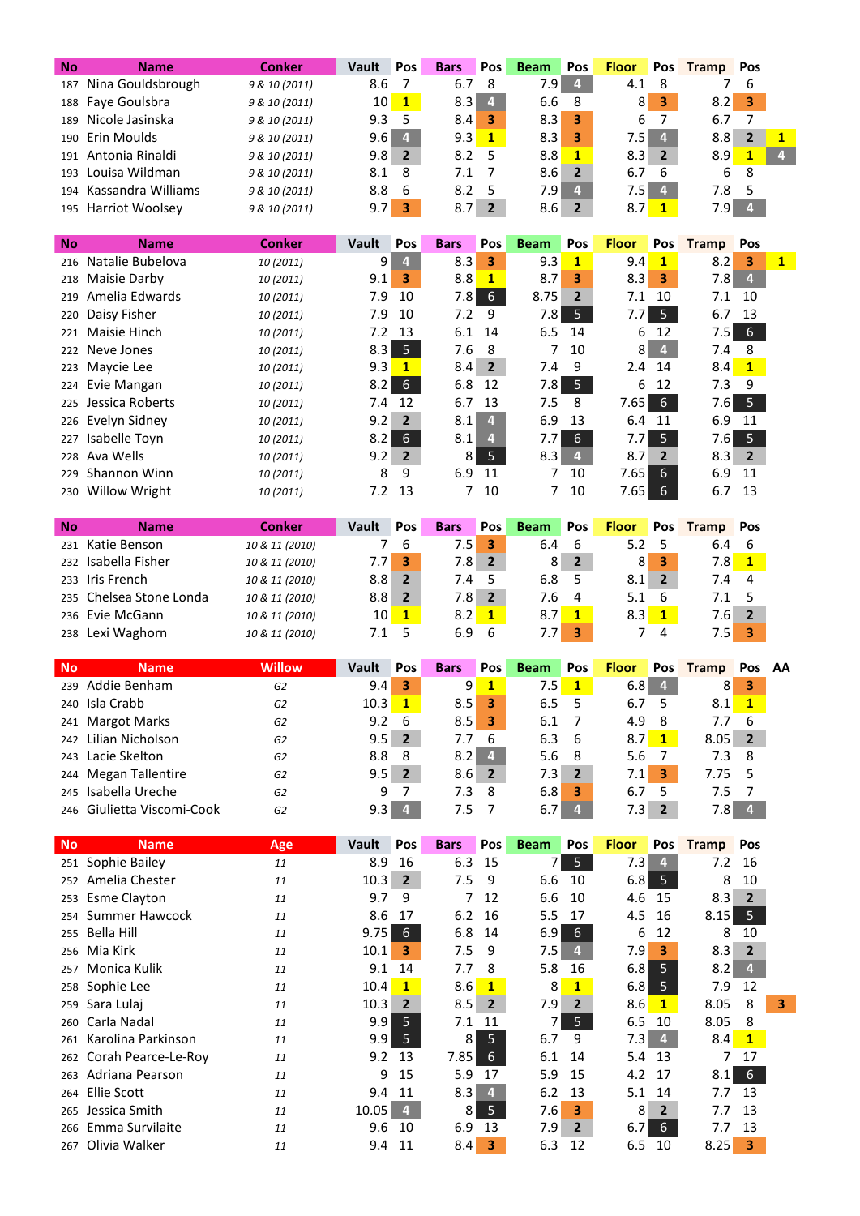| No        | <b>Name</b>                        | <b>Conker</b>  | <b>Vault</b>  | Pos                     | <b>Bars</b> | Pos                     | <b>Beam</b> | Pos                     | <b>Floor</b> | Pos                     | <b>Tramp</b> | Pos                     |                |
|-----------|------------------------------------|----------------|---------------|-------------------------|-------------|-------------------------|-------------|-------------------------|--------------|-------------------------|--------------|-------------------------|----------------|
| 187       | Nina Gouldsbrough                  | 9 & 10 (2011)  | 8.6           | 7                       | 6.7         | 8                       | 7.9         | $\overline{\mathbf{4}}$ | 4.1          | 8                       | 7            | 6                       |                |
| 188       | Faye Goulsbra                      | 9 & 10 (2011)  | 10            | $\mathbf{1}$            | 8.3         | 4                       | 6.6         | 8                       | 8            | 3                       | 8.2          | 3                       |                |
| 189       | Nicole Jasinska                    | 9 & 10 (2011)  | 9.3           | 5                       | 8.4         | 3                       | 8.3         | 3                       | 6            | 7                       | 6.7          | 7                       |                |
| 190       | Erin Moulds                        | 9 & 10 (2011)  | 9.6           | $\overline{\mathbf{4}}$ | 9.3         | $\mathbf{1}$            | 8.3         | 3                       | 7.5          | $\overline{4}$          | 8.8          | $\mathbf{2}$            | $\mathbf{1}$   |
| 191       | Antonia Rinaldi                    | 9 & 10 (2011)  | 9.8           | $\overline{2}$          | 8.2         | 5                       | 8.8         | $\mathbf{1}$            | 8.3          | $\overline{2}$          | 8.9          | $\mathbf{1}$            | $\overline{4}$ |
| 193       | Louisa Wildman                     | 9 & 10 (2011)  | 8.1           | 8                       | 7.1         | 7                       | 8.6         | $\overline{2}$          | 6.7          | 6                       | 6            | 8                       |                |
| 194       | Kassandra Williams                 | 9 & 10 (2011)  | 8.8           | 6                       | 8.2         | 5                       | 7.9         | $\overline{4}$          | 7.5          | $\overline{4}$          | 7.8          | 5                       |                |
| 195       | Harriot Woolsey                    | 9 & 10 (2011)  | 9.7           | 3                       | 8.7         | $\overline{\mathbf{2}}$ | 8.6         | $\mathbf{2}$            | 8.7          | $\mathbf{1}$            | 7.9          | $\overline{\mathbf{4}}$ |                |
|           |                                    |                |               |                         |             |                         |             |                         |              |                         |              |                         |                |
| No        | <b>Name</b>                        | <b>Conker</b>  | Vault         | Pos                     | <b>Bars</b> | Pos                     | <b>Beam</b> | Pos                     | <b>Floor</b> | Pos                     | <b>Tramp</b> | Pos                     |                |
| 216       | Natalie Bubelova                   | 10 (2011)      | 9             | $\overline{4}$          | 8.3         | 3                       | 9.3         | $\mathbf{1}$            | 9.4          | $\mathbf{1}$            | 8.2          | 3                       | $\mathbf{1}$   |
| 218       | Maisie Darby                       | 10 (2011)      | 9.1           | 3                       | 8.8         | $\mathbf{1}$            | 8.7         | 3                       | 8.3          | 3                       | 7.8          | $\overline{\mathbf{4}}$ |                |
| 219       | Amelia Edwards                     | 10 (2011)      | 7.9           | 10                      | 7.8         | $6\,$                   | 8.75        | $\overline{2}$          | 7.1          | 10                      | 7.1          | 10                      |                |
| 220       | Daisy Fisher                       | 10 (2011)      | 7.9           | 10                      | 7.2         | 9                       | 7.8         | 5                       | 7.7          | 5                       | 6.7          | 13                      |                |
| 221       | Maisie Hinch                       | 10 (2011)      | 7.2           | 13                      | 6.1         | 14                      | 6.5         | 14                      | 6            | 12                      | 7.5          | 6 <sup>1</sup>          |                |
| 222       | Neve Jones                         | 10 (2011)      | 8.3           | 5 <sub>1</sub>          | 7.6         | 8                       | 7           | 10                      | 8            | $\overline{\mathbf{4}}$ | 7.4          | 8                       |                |
| 223       | Maycie Lee                         | 10 (2011)      | 9.3           | $\mathbf{1}$            | 8.4         | $\overline{2}$          | 7.4         | 9                       | 2.4          | 14                      | 8.4          | $\mathbf{1}$            |                |
| 224       | Evie Mangan                        | 10 (2011)      | 8.2           | $6\overline{6}$         | 6.8         | 12                      | 7.8         | $\overline{5}$          | 6            | 12                      | 7.3          | 9                       |                |
| 225       | Jessica Roberts                    | 10 (2011)      | 7.4           | 12                      | 6.7         | 13                      | 7.5         | 8                       | 7.65         | $6\,$                   | 7.6          | 5 <sub>1</sub>          |                |
| 226       | Evelyn Sidney                      | 10 (2011)      | 9.2           | $\overline{2}$          | 8.1         | 4                       | 6.9         | 13                      | 6.4          | 11                      | 6.9          | 11                      |                |
| 227       | Isabelle Toyn                      | 10 (2011)      | 8.2           | $6 \overline{6}$        | 8.1         | 4                       | 7.7         | 6                       | 7.7          | 5                       | 7.6          | 5                       |                |
| 228       | Ava Wells                          | 10 (2011)      | 9.2           | $\overline{2}$          | 8           | 5                       | 8.3         | $\overline{\mathbf{4}}$ | 8.7          | $\mathbf{2}$            | 8.3          | $\overline{\mathbf{2}}$ |                |
| 229       | Shannon Winn                       |                | 8             | 9                       | 6.9         | 11                      | 7           | 10                      | 7.65         | 6                       | 6.9          | 11                      |                |
|           |                                    | 10 (2011)      |               | 13                      | 7           | 10                      | 7           | 10                      | 7.65         | 6                       | 6.7          | 13                      |                |
| 230       | Willow Wright                      | 10 (2011)      | 7.2           |                         |             |                         |             |                         |              |                         |              |                         |                |
| No        | <b>Name</b>                        | <b>Conker</b>  | Vault         | Pos                     | <b>Bars</b> | Pos                     | <b>Beam</b> | Pos                     | <b>Floor</b> | Pos                     | <b>Tramp</b> | Pos                     |                |
| 231       | Katie Benson                       | 10 & 11 (2010) | 7             | 6                       | 7.5         | 3                       | 6.4         | 6                       | 5.2          | 5                       | 6.4          | 6                       |                |
|           | Isabella Fisher                    |                | 7.7           | 3                       | 7.8         | $\mathbf{2}$            | 8           | $\mathbf{2}$            | 8            | 3                       | 7.8          | $\mathbf{1}$            |                |
| 232       |                                    | 10 & 11 (2010) |               | $\overline{2}$          |             |                         |             |                         |              |                         |              |                         |                |
| 233       | Iris French<br>Chelsea Stone Londa | 10 & 11 (2010) | 8.8<br>8.8    | $\overline{2}$          | 7.4<br>7.8  | 5<br>$\overline{2}$     | 6.8<br>7.6  | 5<br>4                  | 8.1<br>5.1   | $\overline{2}$<br>6     | 7.4<br>7.1   | 4                       |                |
| 235       |                                    | 10 & 11 (2010) |               |                         |             |                         |             |                         |              |                         |              | 5                       |                |
|           |                                    |                |               |                         |             |                         |             |                         |              |                         |              |                         |                |
| 236       | Evie McGann                        | 10 & 11 (2010) | 10            | $\mathbf{1}$            | 8.2         | $\mathbf{1}$            | 8.7         | $\mathbf{1}$            | 8.3          | $\mathbf{1}$            | 7.6          | $\overline{\mathbf{2}}$ |                |
| 238       | Lexi Waghorn                       | 10 & 11 (2010) | 7.1           | 5                       | 6.9         | 6                       | 7.7         | 3                       | 7            | 4                       | 7.5          | 3                       |                |
|           |                                    |                |               |                         |             |                         |             |                         |              |                         |              |                         |                |
| <b>No</b> | <b>Name</b>                        | <b>Willow</b>  | Vault         | Pos                     | <b>Bars</b> | Pos                     | <b>Beam</b> | Pos                     | <b>Floor</b> | Pos                     | <b>Tramp</b> | Pos                     | AA             |
| 239       | Addie Benham                       | G <sub>2</sub> | 9.4           | 3                       | 9           | $\mathbf{1}$            | 7.5         | $\mathbf{1}$            | 6.8          | 4                       | 8            | 3                       |                |
|           | 240 Isla Crabb                     | G2             | 10.3          | $\mathbf{1}$            | 8.5         | 3                       | 6.5         | 5                       | 6.7          | 5                       | 8.1          | 1                       |                |
|           | 241 Margot Marks                   | G2             | 9.2           | 6                       | 8.5         | 3                       | 6.1         | 7                       | 4.9          | 8                       | 7.7          | 6                       |                |
| 242       | Lilian Nicholson                   | G <sub>2</sub> | 9.5           | $2^{\circ}$             | 7.7         | 6                       | 6.3         | 6                       | 8.7          | 1                       | 8.05         | $\mathbf{2}$            |                |
| 243       | Lacie Skelton                      | G <sub>2</sub> | 8.8           | 8                       | 8.2         | 4                       | 5.6         | 8                       | 5.6          | $\overline{7}$          | 7.3          | 8                       |                |
| 244       | <b>Megan Tallentire</b>            | G <sub>2</sub> | 9.5           | $2^{\circ}$             | 8.6         | $\overline{2}$          | 7.3         | $\overline{2}$          | 7.1          | 3                       | 7.75         | 5                       |                |
| 245       | Isabella Ureche                    | G <sub>2</sub> | 9             | $\overline{7}$          | 7.3         | 8                       | 6.8         | 3                       | 6.7          | 5                       | 7.5          | 7                       |                |
| 246       | Giulietta Viscomi-Cook             | G <sub>2</sub> | 9.3           | $\overline{4}$          | 7.5         | 7                       | 6.7         | 4                       | 7.3          | $2^{\circ}$             | 7.8          | $\overline{4}$          |                |
|           |                                    |                |               |                         |             |                         |             |                         |              |                         |              |                         |                |
| <b>No</b> | <b>Name</b>                        | Age            | Vault         | Pos                     | <b>Bars</b> | Pos                     | <b>Beam</b> | Pos                     | <b>Floor</b> | Pos                     | <b>Tramp</b> | Pos                     |                |
|           | 251 Sophie Bailey                  | 11             | 8.9           | 16                      | 6.3         | 15                      | 7           | 5 <sub>1</sub>          | 7.3          | $\overline{4}$          | 7.2          | 16                      |                |
|           | 252 Amelia Chester                 | 11             | 10.3          | 2 <sup>1</sup>          | 7.5         | 9                       | 6.6         | 10                      | 6.8          | 5 <sub>1</sub>          | 8            | 10                      |                |
| 253       | <b>Esme Clayton</b>                | 11             | 9.7           | 9                       | 7           | 12                      | 6.6         | 10                      | 4.6          | 15                      | 8.3          | $\overline{2}$          |                |
| 254       | Summer Hawcock                     | 11             | 8.6           | 17                      | 6.2         | 16                      | 5.5         | 17                      | 4.5          | 16                      | 8.15         | 5 <sub>1</sub>          |                |
| 255       | <b>Bella Hill</b>                  | 11             | 9.75          | 6 <sup>6</sup>          | 6.8         | 14                      | 6.9         | $6 \overline{6}$        | 6            | 12                      | 8            | 10                      |                |
| 256       | Mia Kirk                           | 11             | 10.1          | 3                       | 7.5         | 9                       | 7.5         | $\overline{a}$          | 7.9          | $\overline{\mathbf{3}}$ | 8.3          | $\overline{2}$          |                |
| 257       | Monica Kulik                       | 11             | 9.1           | 14                      | 7.7         | 8                       | 5.8         | 16                      | 6.8          | 5 <sub>5</sub>          | 8.2          | $\overline{4}$          |                |
| 258       | Sophie Lee                         | 11             | 10.4          | $\mathbf{1}$            | 8.6         | 1                       | 8           | $\overline{1}$          | 6.8          | $5\phantom{.}$          | 7.9          | 12                      |                |
| 259       | Sara Lulaj                         | 11             | 10.3          | $\overline{2}$          | 8.5         | $2^{\circ}$             | 7.9         | $\mathbf{2}$            | 8.6          | $\mathbf{1}$            | 8.05         | 8                       | 3              |
| 260       | Carla Nadal                        | 11             | 9.9           | 5 <sup>5</sup>          | 7.1         | 11                      | 7           | 5                       | 6.5          | 10                      | 8.05         | 8                       |                |
| 261       | Karolina Parkinson                 | 11             | 9.9           | $\overline{5}$          | 8           | 5                       | 6.7         | 9                       | 7.3          | $\overline{4}$          | 8.4          | $\mathbf{1}$            |                |
| 262       | Corah Pearce-Le-Roy                | 11             | 9.2           | 13                      | 7.85        | $\sqrt{6}$              | 6.1         | 14                      | 5.4          | 13                      | 7            | 17                      |                |
| 263       | Adriana Pearson                    | 11             | 9             | 15                      | 5.9         | 17                      | 5.9         | 15                      | 4.2          | 17                      | 8.1          | $\sqrt{6}$              |                |
| 264       | <b>Ellie Scott</b>                 | 11             | 9.4           | 11                      | 8.3         | $\overline{4}$          | 6.2         | 13                      | 5.1          | 14                      | 7.7          | 13                      |                |
| 265       | Jessica Smith                      | 11             | 10.05         | $\overline{\mathbf{4}}$ | 8           | $\overline{\mathbf{5}}$ | 7.6         | 3                       | 8            | $\overline{2}$          | 7.7          | 13                      |                |
| 266       | Emma Survilaite<br>Olivia Walker   | 11             | 9.6<br>9.4 11 | 10                      | 6.9<br>8.4  | 13                      | 7.9<br>6.3  | $\mathbf{2}$<br>12      | 6.7<br>6.5   | 6 <sup>1</sup><br>10    | 7.7<br>8.25  | 13<br>3                 |                |